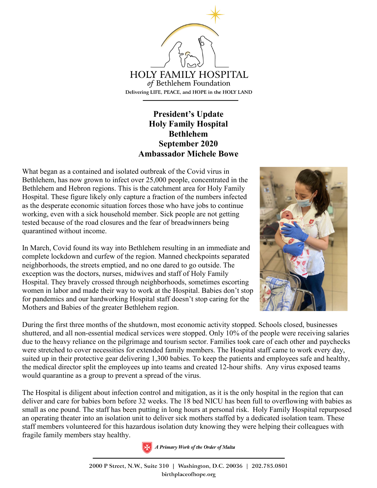

## **President's Update Holy Family Hospital Bethlehem September 2020 Ambassador Michele Bowe**

What began as a contained and isolated outbreak of the Covid virus in Bethlehem, has now grown to infect over 25,000 people, concentrated in the Bethlehem and Hebron regions. This is the catchment area for Holy Family Hospital. These figure likely only capture a fraction of the numbers infected as the desperate economic situation forces those who have jobs to continue working, even with a sick household member. Sick people are not getting tested because of the road closures and the fear of breadwinners being quarantined without income.

In March, Covid found its way into Bethlehem resulting in an immediate and complete lockdown and curfew of the region. Manned checkpoints separated neighborhoods, the streets emptied, and no one dared to go outside. The exception was the doctors, nurses, midwives and staff of Holy Family Hospital. They bravely crossed through neighborhoods, sometimes escorting women in labor and made their way to work at the Hospital. Babies don't stop for pandemics and our hardworking Hospital staff doesn't stop caring for the Mothers and Babies of the greater Bethlehem region.



During the first three months of the shutdown, most economic activity stopped. Schools closed, businesses shuttered, and all non-essential medical services were stopped. Only 10% of the people were receiving salaries due to the heavy reliance on the pilgrimage and tourism sector. Families took care of each other and paychecks were stretched to cover necessities for extended family members. The Hospital staff came to work every day, suited up in their protective gear delivering 1,300 babies. To keep the patients and employees safe and healthy, the medical director split the employees up into teams and created 12-hour shifts. Any virus exposed teams would quarantine as a group to prevent a spread of the virus.

The Hospital is diligent about infection control and mitigation, as it is the only hospital in the region that can deliver and care for babies born before 32 weeks. The 18 bed NICU has been full to overflowing with babies as small as one pound. The staff has been putting in long hours at personal risk. Holy Family Hospital repurposed an operating theater into an isolation unit to deliver sick mothers staffed by a dedicated isolation team. These staff members volunteered for this hazardous isolation duty knowing they were helping their colleagues with fragile family members stay healthy.



2000 P Street, N.W., Suite 310 | Washington, D.C. 20036 | 202.785.0801 birthplaceofhope.org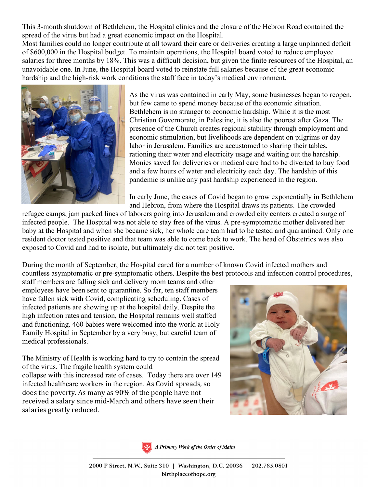This 3-month shutdown of Bethlehem, the Hospital clinics and the closure of the Hebron Road contained the spread of the virus but had a great economic impact on the Hospital.

Most families could no longer contribute at all toward their care or deliveries creating a large unplanned deficit of \$600,000 in the Hospital budget. To maintain operations, the Hospital board voted to reduce employee salaries for three months by 18%. This was a difficult decision, but given the finite resources of the Hospital, an unavoidable one. In June, the Hospital board voted to reinstate full salaries because of the great economic hardship and the high-risk work conditions the staff face in today's medical environment.



As the virus was contained in early May, some businesses began to reopen, but few came to spend money because of the economic situation. Bethlehem is no stranger to economic hardship. While it is the most Christian Governorate, in Palestine, it is also the poorest after Gaza. The presence of the Church creates regional stability through employment and economic stimulation, but livelihoods are dependent on pilgrims or day labor in Jerusalem. Families are accustomed to sharing their tables, rationing their water and electricity usage and waiting out the hardship. Monies saved for deliveries or medical care had to be diverted to buy food and a few hours of water and electricity each day. The hardship of this pandemic is unlike any past hardship experienced in the region.

In early June, the cases of Covid began to grow exponentially in Bethlehem and Hebron, from where the Hospital draws its patients. The crowded

refugee camps, jam packed lines of laborers going into Jerusalem and crowded city centers created a surge of infected people. The Hospital was not able to stay free of the virus. A pre-symptomatic mother delivered her baby at the Hospital and when she became sick, her whole care team had to be tested and quarantined. Only one resident doctor tested positive and that team was able to come back to work. The head of Obstetrics was also exposed to Covid and had to isolate, but ultimately did not test positive.

During the month of September, the Hospital cared for a number of known Covid infected mothers and countless asymptomatic or pre-symptomatic others. Despite the best protocols and infection control procedures,

staff members are falling sick and delivery room teams and other employees have been sent to quarantine. So far, ten staff members have fallen sick with Covid, complicating scheduling. Cases of infected patients are showing up at the hospital daily. Despite the high infection rates and tension, the Hospital remains well staffed and functioning. 460 babies were welcomed into the world at Holy Family Hospital in September by a very busy, but careful team of medical professionals.

The Ministry of Health is working hard to try to contain the spread of the virus. The fragile health system could collapse with this increased rate of cases. Today there are over 149 infected healthcare workers in the region. As Covid spreads, so does the poverty. As many as 90% of the people have not received a salary since mid-March and others have seen their salaries greatly reduced.





A Primary Work of the Order of Malta